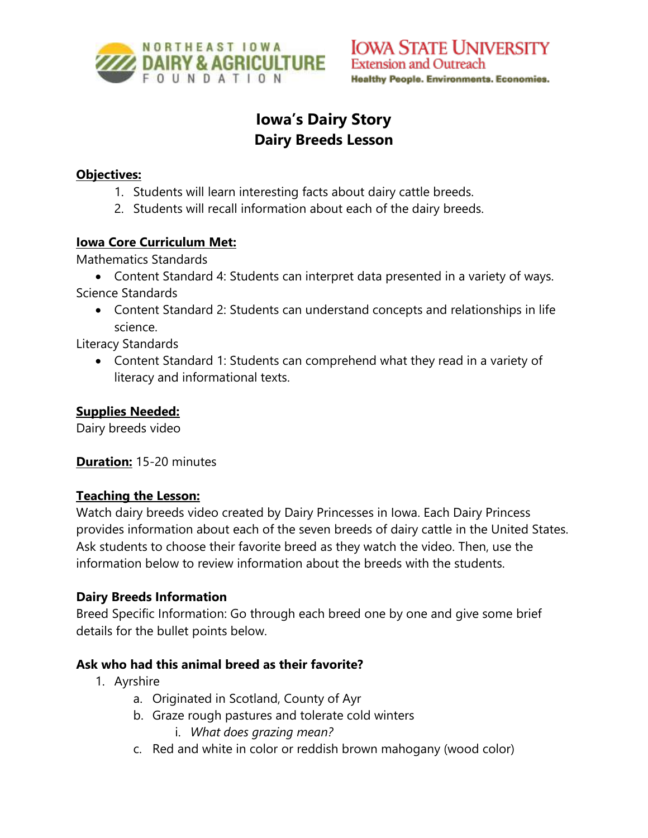

# **Iowa's Dairy Story Dairy Breeds Lesson**

#### **Objectives:**

- 1. Students will learn interesting facts about dairy cattle breeds.
- 2. Students will recall information about each of the dairy breeds.

#### **Iowa Core Curriculum Met:**

Mathematics Standards

- Content Standard 4: Students can interpret data presented in a variety of ways. Science Standards
	- Content Standard 2: Students can understand concepts and relationships in life science.

Literacy Standards

• Content Standard 1: Students can comprehend what they read in a variety of literacy and informational texts.

#### **Supplies Needed:**

Dairy breeds video

**Duration:** 15-20 minutes

#### **Teaching the Lesson:**

Watch dairy breeds video created by Dairy Princesses in Iowa. Each Dairy Princess provides information about each of the seven breeds of dairy cattle in the United States. Ask students to choose their favorite breed as they watch the video. Then, use the information below to review information about the breeds with the students.

# **Dairy Breeds Information**

Breed Specific Information: Go through each breed one by one and give some brief details for the bullet points below.

# **Ask who had this animal breed as their favorite?**

- 1. Ayrshire
	- a. Originated in Scotland, County of Ayr
	- b. Graze rough pastures and tolerate cold winters i. *What does grazing mean?*
	- c. Red and white in color or reddish brown mahogany (wood color)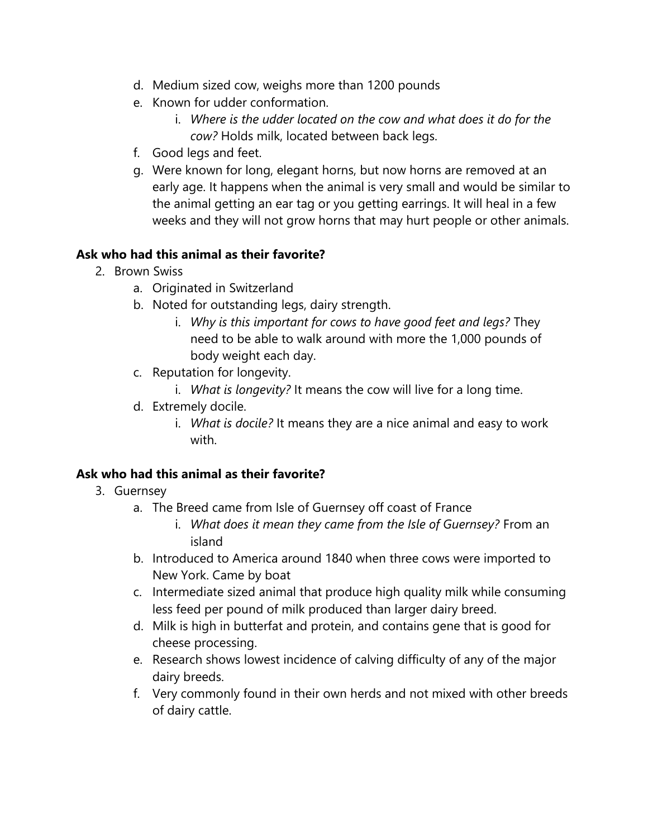- d. Medium sized cow, weighs more than 1200 pounds
- e. Known for udder conformation.
	- i. *Where is the udder located on the cow and what does it do for the cow?* Holds milk, located between back legs.
- f. Good legs and feet.
- g. Were known for long, elegant horns, but now horns are removed at an early age. It happens when the animal is very small and would be similar to the animal getting an ear tag or you getting earrings. It will heal in a few weeks and they will not grow horns that may hurt people or other animals.

# **Ask who had this animal as their favorite?**

- 2. Brown Swiss
	- a. Originated in Switzerland
	- b. Noted for outstanding legs, dairy strength.
		- i. *Why is this important for cows to have good feet and legs?* They need to be able to walk around with more the 1,000 pounds of body weight each day.
	- c. Reputation for longevity.
		- i. *What is longevity?* It means the cow will live for a long time.
	- d. Extremely docile.
		- i. *What is docile?* It means they are a nice animal and easy to work with.

# **Ask who had this animal as their favorite?**

- 3. Guernsey
	- a. The Breed came from Isle of Guernsey off coast of France
		- i. *What does it mean they came from the Isle of Guernsey?* From an island
	- b. Introduced to America around 1840 when three cows were imported to New York. Came by boat
	- c. Intermediate sized animal that produce high quality milk while consuming less feed per pound of milk produced than larger dairy breed.
	- d. Milk is high in butterfat and protein, and contains gene that is good for cheese processing.
	- e. Research shows lowest incidence of calving difficulty of any of the major dairy breeds.
	- f. Very commonly found in their own herds and not mixed with other breeds of dairy cattle.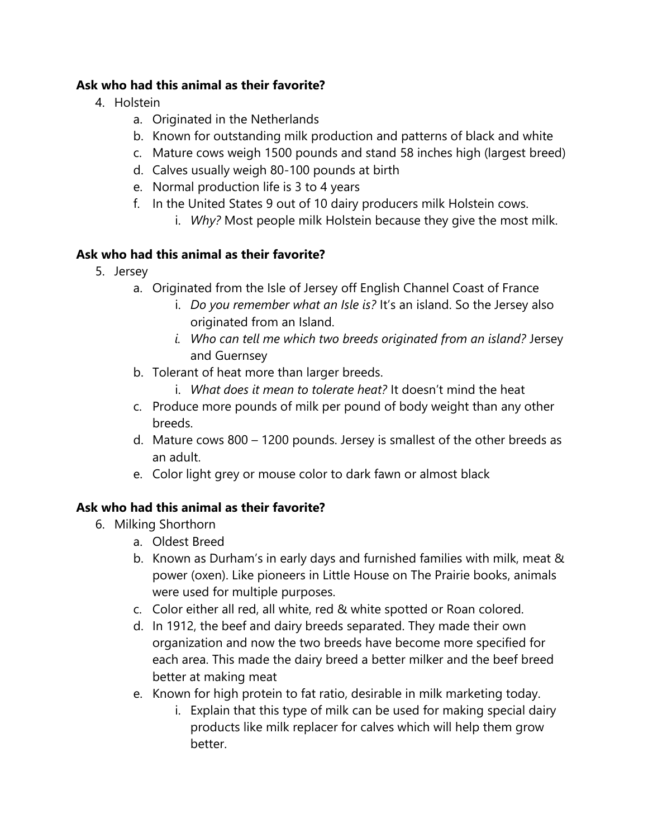#### **Ask who had this animal as their favorite?**

- 4. Holstein
	- a. Originated in the Netherlands
	- b. Known for outstanding milk production and patterns of black and white
	- c. Mature cows weigh 1500 pounds and stand 58 inches high (largest breed)
	- d. Calves usually weigh 80-100 pounds at birth
	- e. Normal production life is 3 to 4 years
	- f. In the United States 9 out of 10 dairy producers milk Holstein cows.
		- i. *Why?* Most people milk Holstein because they give the most milk.

# **Ask who had this animal as their favorite?**

- 5. Jersey
	- a. Originated from the Isle of Jersey off English Channel Coast of France
		- i. *Do you remember what an Isle is?* It's an island. So the Jersey also originated from an Island.
		- *i. Who can tell me which two breeds originated from an island?* Jersey and Guernsey
	- b. Tolerant of heat more than larger breeds.
		- i. *What does it mean to tolerate heat?* It doesn't mind the heat
	- c. Produce more pounds of milk per pound of body weight than any other breeds.
	- d. Mature cows 800 1200 pounds. Jersey is smallest of the other breeds as an adult.
	- e. Color light grey or mouse color to dark fawn or almost black

# **Ask who had this animal as their favorite?**

- 6. Milking Shorthorn
	- a. Oldest Breed
	- b. Known as Durham's in early days and furnished families with milk, meat & power (oxen). Like pioneers in Little House on The Prairie books, animals were used for multiple purposes.
	- c. Color either all red, all white, red & white spotted or Roan colored.
	- d. In 1912, the beef and dairy breeds separated. They made their own organization and now the two breeds have become more specified for each area. This made the dairy breed a better milker and the beef breed better at making meat
	- e. Known for high protein to fat ratio, desirable in milk marketing today.
		- i. Explain that this type of milk can be used for making special dairy products like milk replacer for calves which will help them grow better.